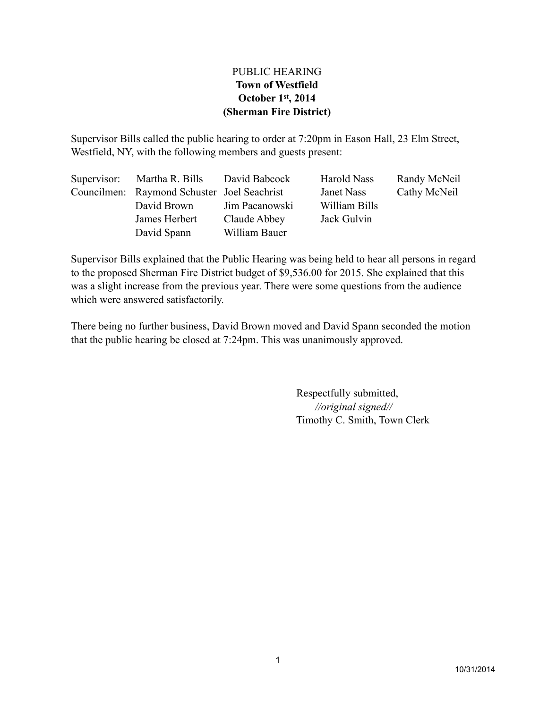## PUBLIC HEARING **Town of Westfield October 1st, 2014 (Sherman Fire District)**

Supervisor Bills called the public hearing to order at 7:20pm in Eason Hall, 23 Elm Street, Westfield, NY, with the following members and guests present:

| Supervisor: Martha R. Bills                 | David Babcock  | Harold Nass   | Randy McNeil |
|---------------------------------------------|----------------|---------------|--------------|
| Councilmen: Raymond Schuster Joel Seachrist |                | Janet Nass    | Cathy McNeil |
| David Brown                                 | Jim Pacanowski | William Bills |              |
| James Herbert                               | Claude Abbey   | Jack Gulvin   |              |
| David Spann                                 | William Bauer  |               |              |

Supervisor Bills explained that the Public Hearing was being held to hear all persons in regard to the proposed Sherman Fire District budget of \$9,536.00 for 2015. She explained that this was a slight increase from the previous year. There were some questions from the audience which were answered satisfactorily.

There being no further business, David Brown moved and David Spann seconded the motion that the public hearing be closed at 7:24pm. This was unanimously approved.

> Respectfully submitted, *//original signed//* Timothy C. Smith, Town Clerk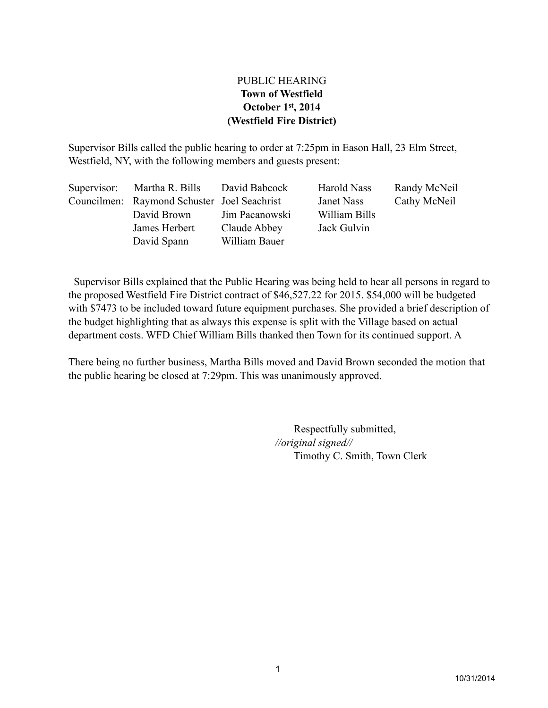# PUBLIC HEARING **Town of Westfield October 1st, 2014 (Westfield Fire District)**

Supervisor Bills called the public hearing to order at 7:25pm in Eason Hall, 23 Elm Street, Westfield, NY, with the following members and guests present:

| Supervisor: Martha R. Bills                 | David Babcock  | Harold Nass   | Randy McNeil |
|---------------------------------------------|----------------|---------------|--------------|
| Councilmen: Raymond Schuster Joel Seachrist |                | Janet Nass    | Cathy McNeil |
| David Brown                                 | Jim Pacanowski | William Bills |              |
| James Herbert                               | Claude Abbey   | Jack Gulvin   |              |
| David Spann                                 | William Bauer  |               |              |

 Supervisor Bills explained that the Public Hearing was being held to hear all persons in regard to the proposed Westfield Fire District contract of \$46,527.22 for 2015. \$54,000 will be budgeted with \$7473 to be included toward future equipment purchases. She provided a brief description of the budget highlighting that as always this expense is split with the Village based on actual department costs. WFD Chief William Bills thanked then Town for its continued support. A

There being no further business, Martha Bills moved and David Brown seconded the motion that the public hearing be closed at 7:29pm. This was unanimously approved.

> Respectfully submitted, *//original signed//* Timothy C. Smith, Town Clerk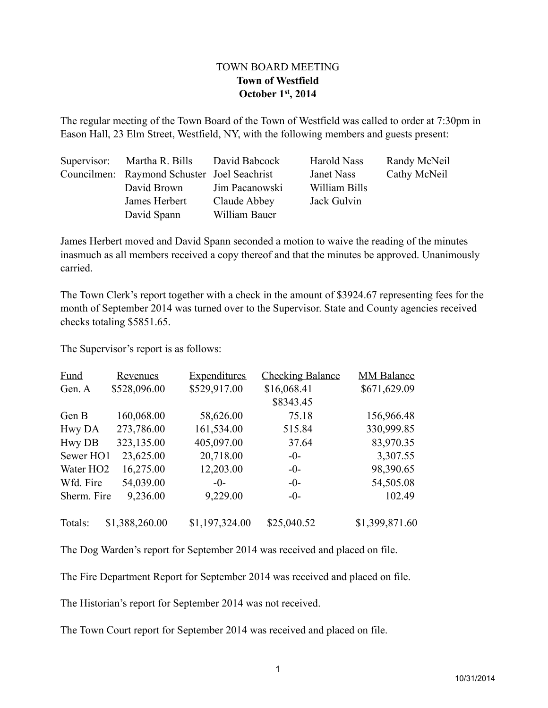#### TOWN BOARD MEETING **Town of Westfield October 1st, 2014**

The regular meeting of the Town Board of the Town of Westfield was called to order at 7:30pm in Eason Hall, 23 Elm Street, Westfield, NY, with the following members and guests present:

| Supervisor: Martha R. Bills                 | David Babcock  | Harold Nass   | Randy McNeil |
|---------------------------------------------|----------------|---------------|--------------|
| Councilmen: Raymond Schuster Joel Seachrist |                | Janet Nass    | Cathy McNeil |
| David Brown                                 | Jim Pacanowski | William Bills |              |
| James Herbert                               | Claude Abbey   | Jack Gulvin   |              |
| David Spann                                 | William Bauer  |               |              |

James Herbert moved and David Spann seconded a motion to waive the reading of the minutes inasmuch as all members received a copy thereof and that the minutes be approved. Unanimously carried.

The Town Clerk's report together with a check in the amount of \$3924.67 representing fees for the month of September 2014 was turned over to the Supervisor. State and County agencies received checks totaling \$5851.65.

The Supervisor's report is as follows:

| <b>Fund</b>           | <b>Revenues</b> | Expenditures   | <b>Checking Balance</b> | <b>MM Balance</b> |
|-----------------------|-----------------|----------------|-------------------------|-------------------|
| Gen. A                | \$528,096.00    | \$529,917.00   | \$16,068.41             | \$671,629.09      |
|                       |                 |                | \$8343.45               |                   |
| Gen B                 | 160,068.00      | 58,626.00      | 75.18                   | 156,966.48        |
| Hwy DA                | 273,786.00      | 161,534.00     | 515.84                  | 330,999.85        |
| <b>Hwy DB</b>         | 323,135.00      | 405,097.00     | 37.64                   | 83,970.35         |
| Sewer HO1             | 23,625.00       | 20,718.00      | $-0-$                   | 3,307.55          |
| Water HO <sub>2</sub> | 16,275.00       | 12,203.00      | $-0-$                   | 98,390.65         |
| Wfd. Fire             | 54,039.00       | $-0-$          | $-0-$                   | 54,505.08         |
| Sherm. Fire           | 9,236.00        | 9,229.00       | $-0-$                   | 102.49            |
| Totals:               | \$1,388,260.00  | \$1,197,324.00 | \$25,040.52             | \$1,399,871.60    |

The Dog Warden's report for September 2014 was received and placed on file.

The Fire Department Report for September 2014 was received and placed on file.

The Historian's report for September 2014 was not received.

The Town Court report for September 2014 was received and placed on file.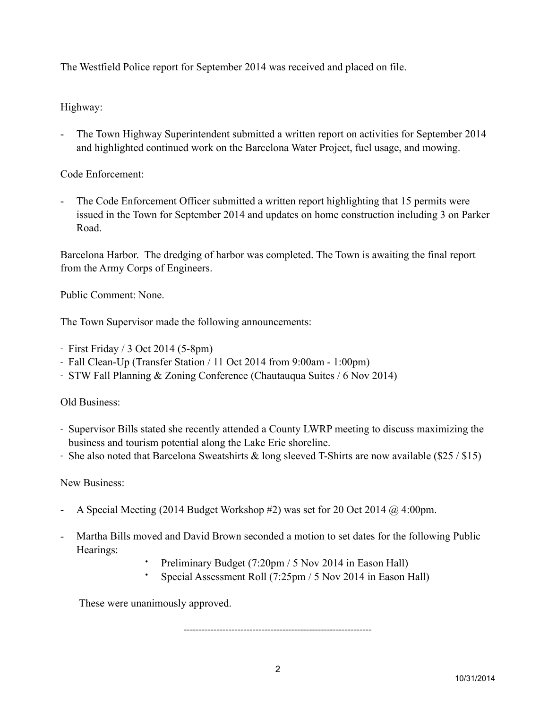The Westfield Police report for September 2014 was received and placed on file.

# Highway:

- The Town Highway Superintendent submitted a written report on activities for September 2014 and highlighted continued work on the Barcelona Water Project, fuel usage, and mowing.

# Code Enforcement:

- The Code Enforcement Officer submitted a written report highlighting that 15 permits were issued in the Town for September 2014 and updates on home construction including 3 on Parker Road.

Barcelona Harbor. The dredging of harbor was completed. The Town is awaiting the final report from the Army Corps of Engineers.

Public Comment: None.

The Town Supervisor made the following announcements:

- First Friday / 3 Oct 2014 (5-8pm)
- Fall Clean-Up (Transfer Station / 11 Oct 2014 from 9:00am 1:00pm)
- STW Fall Planning & Zoning Conference (Chautauqua Suites / 6 Nov 2014)

# Old Business:

- Supervisor Bills stated she recently attended a County LWRP meeting to discuss maximizing the business and tourism potential along the Lake Erie shoreline.
- She also noted that Barcelona Sweatshirts & long sleeved T-Shirts are now available (\$25 / \$15)

# New Business:

- A Special Meeting (2014 Budget Workshop #2) was set for 20 Oct 2014 @ 4:00pm.
- Martha Bills moved and David Brown seconded a motion to set dates for the following Public Hearings:
	- Preliminary Budget (7:20pm / 5 Nov 2014 in Eason Hall)
	- Special Assessment Roll (7:25pm / 5 Nov 2014 in Eason Hall)

These were unanimously approved.

---------------------------------------------------------------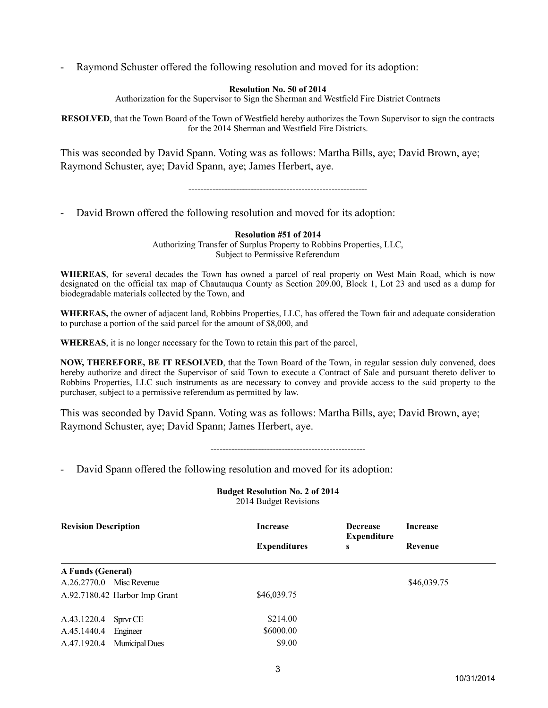- Raymond Schuster offered the following resolution and moved for its adoption:

#### **Resolution No. 50 of 2014**

Authorization for the Supervisor to Sign the Sherman and Westfield Fire District Contracts

**RESOLVED**, that the Town Board of the Town of Westfield hereby authorizes the Town Supervisor to sign the contracts for the 2014 Sherman and Westfield Fire Districts.

This was seconded by David Spann. Voting was as follows: Martha Bills, aye; David Brown, aye; Raymond Schuster, aye; David Spann, aye; James Herbert, aye.

------------------------------------------------------------

- David Brown offered the following resolution and moved for its adoption:

**Resolution #51 of 2014** Authorizing Transfer of Surplus Property to Robbins Properties, LLC, Subject to Permissive Referendum

**WHEREAS**, for several decades the Town has owned a parcel of real property on West Main Road, which is now designated on the official tax map of Chautauqua County as Section 209.00, Block 1, Lot 23 and used as a dump for biodegradable materials collected by the Town, and

**WHEREAS,** the owner of adjacent land, Robbins Properties, LLC, has offered the Town fair and adequate consideration to purchase a portion of the said parcel for the amount of \$8,000, and

**WHEREAS**, it is no longer necessary for the Town to retain this part of the parcel,

**NOW, THEREFORE, BE IT RESOLVED**, that the Town Board of the Town, in regular session duly convened, does hereby authorize and direct the Supervisor of said Town to execute a Contract of Sale and pursuant thereto deliver to Robbins Properties, LLC such instruments as are necessary to convey and provide access to the said property to the purchaser, subject to a permissive referendum as permitted by law.

This was seconded by David Spann. Voting was as follows: Martha Bills, aye; David Brown, aye; Raymond Schuster, aye; David Spann; James Herbert, aye.

----------------------------------------------------

- David Spann offered the following resolution and moved for its adoption:

**Budget Resolution No. 2 of 2014** 2014 Budget Revisions

| <b>Revision Description</b> |                               | <b>Increase</b>     | <b>Decrease</b><br><b>Expenditure</b> | <b>Increase</b> |  |
|-----------------------------|-------------------------------|---------------------|---------------------------------------|-----------------|--|
|                             |                               | <b>Expenditures</b> | s                                     | Revenue         |  |
|                             | A Funds (General)             |                     |                                       |                 |  |
| A.26.2770.0 Misc Revenue    |                               |                     |                                       | \$46,039.75     |  |
|                             | A.92.7180.42 Harbor Imp Grant | \$46,039.75         |                                       |                 |  |
| A.43.1220.4                 | Sprvr CE                      | \$214.00            |                                       |                 |  |
| A.45.1440.4                 | Engineer                      | \$6000.00           |                                       |                 |  |
| A.47.1920.4                 | <b>Municipal Dues</b>         | \$9.00              |                                       |                 |  |